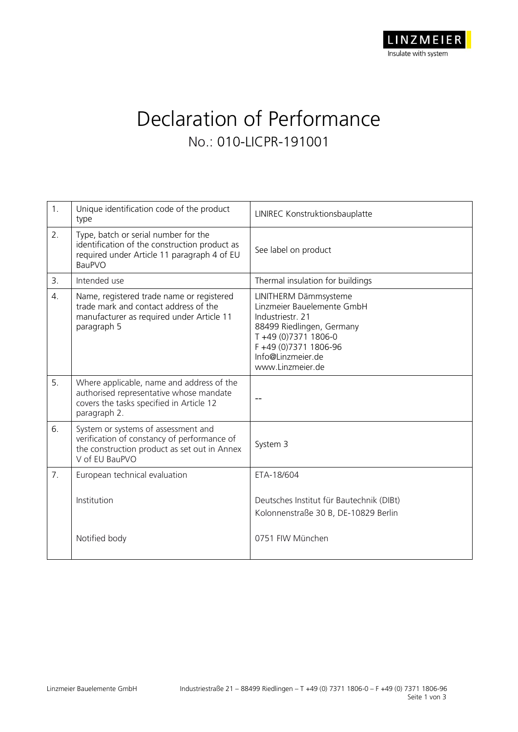## Declaration of Performance **No.: 010-LICPR-191001**

| 1.               | Unique identification code of the product<br>type                                                                                                     | LINIREC Konstruktionsbauplatte                                                                                                                                                               |  |
|------------------|-------------------------------------------------------------------------------------------------------------------------------------------------------|----------------------------------------------------------------------------------------------------------------------------------------------------------------------------------------------|--|
| 2.               | Type, batch or serial number for the<br>identification of the construction product as<br>required under Article 11 paragraph 4 of EU<br><b>BauPVO</b> | See label on product                                                                                                                                                                         |  |
| 3.               | Intended use                                                                                                                                          | Thermal insulation for buildings                                                                                                                                                             |  |
| $\overline{4}$ . | Name, registered trade name or registered<br>trade mark and contact address of the<br>manufacturer as required under Article 11<br>paragraph 5        | LINITHERM Dämmsysteme<br>Linzmeier Bauelemente GmbH<br>Industriestr. 21<br>88499 Riedlingen, Germany<br>T+49 (0)7371 1806-0<br>F+49 (0)7371 1806-96<br>Info@Linzmeier.de<br>www.Linzmeier.de |  |
| 5.               | Where applicable, name and address of the<br>authorised representative whose mandate<br>covers the tasks specified in Article 12<br>paragraph 2.      |                                                                                                                                                                                              |  |
| 6.               | System or systems of assessment and<br>verification of constancy of performance of<br>the construction product as set out in Annex<br>V of EU BauPVO  | System 3                                                                                                                                                                                     |  |
| 7 <sub>1</sub>   | European technical evaluation                                                                                                                         | ETA-18/604                                                                                                                                                                                   |  |
|                  | Institution                                                                                                                                           | Deutsches Institut für Bautechnik (DIBt)<br>Kolonnenstraße 30 B, DE-10829 Berlin                                                                                                             |  |
|                  | Notified body                                                                                                                                         | 0751 FIW München                                                                                                                                                                             |  |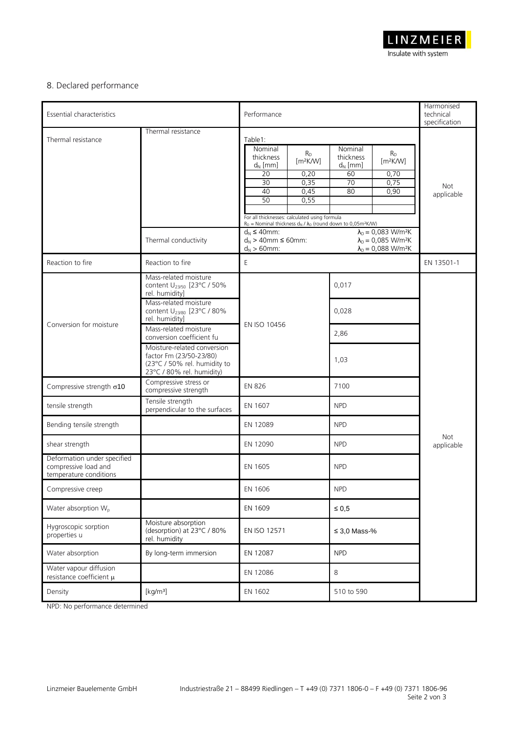

## 8. Declared performance

| Essential characteristics                                                     |                                                                                                                                                                                                                                                                                                                                                     | Performance                                                                                                                                                                                                                                                                                                                                                      |                                                                                                                                                                                                                                               | Harmonised<br>technical<br>specification |
|-------------------------------------------------------------------------------|-----------------------------------------------------------------------------------------------------------------------------------------------------------------------------------------------------------------------------------------------------------------------------------------------------------------------------------------------------|------------------------------------------------------------------------------------------------------------------------------------------------------------------------------------------------------------------------------------------------------------------------------------------------------------------------------------------------------------------|-----------------------------------------------------------------------------------------------------------------------------------------------------------------------------------------------------------------------------------------------|------------------------------------------|
| Thermal resistance                                                            | Thermal resistance<br>Thermal conductivity                                                                                                                                                                                                                                                                                                          | Table1:<br>Nominal<br>$R_{D}$<br>thickness<br>[m <sup>2</sup> K/W]<br>$d_N$ [mm]<br>$\overline{20}$<br>0,20<br>0,35<br>30<br>40<br>0,45<br>50<br>0,55<br>For all thicknesses: calculated using formula<br>$R_D$ = Nominal thickness $d_N / \lambda_D$ (round down to 0,05m <sup>2</sup> K/W)<br>$d_N \leq 40$ mm:<br>$d_N$ > 40mm $\leq$ 60mm:<br>$d_N > 60$ mm: | Nominal<br>$R_D$<br>thickness<br>[m <sup>2</sup> K/W]<br>$d_N$ [mm]<br>0,70<br>60<br>0,75<br>70<br>80<br>0,90<br>$\lambda_D = 0,083$ W/m <sup>2</sup> K<br>$\lambda_{D} = 0.085$ W/m <sup>2</sup> K<br>$\lambda_D = 0,088$ W/m <sup>2</sup> K | <b>Not</b><br>applicable                 |
| Reaction to fire<br>Reaction to fire<br>Ε                                     |                                                                                                                                                                                                                                                                                                                                                     |                                                                                                                                                                                                                                                                                                                                                                  | EN 13501-1                                                                                                                                                                                                                                    |                                          |
| Conversion for moisture                                                       | Mass-related moisture<br>content U <sub>23/50</sub> [23°C / 50%<br>rel. humidity]<br>Mass-related moisture<br>content U <sub>23/80</sub> [23°C / 80%<br>rel. humidity]<br>Mass-related moisture<br>conversion coefficient fu<br>Moisture-related conversion<br>factor Fm (23/50-23/80)<br>(23°C / 50% rel. humidity to<br>23°C / 80% rel. humidity) | EN ISO 10456                                                                                                                                                                                                                                                                                                                                                     | 0,017<br>0,028<br>2,86<br>1,03                                                                                                                                                                                                                |                                          |
| Compressive strength $\sigma$ 10                                              | Compressive stress or<br>compressive strength                                                                                                                                                                                                                                                                                                       | <b>EN 826</b>                                                                                                                                                                                                                                                                                                                                                    | 7100                                                                                                                                                                                                                                          |                                          |
| tensile strength                                                              | Tensile strength<br>perpendicular to the surfaces                                                                                                                                                                                                                                                                                                   | EN 1607                                                                                                                                                                                                                                                                                                                                                          | <b>NPD</b>                                                                                                                                                                                                                                    |                                          |
| Bending tensile strength                                                      |                                                                                                                                                                                                                                                                                                                                                     | EN 12089                                                                                                                                                                                                                                                                                                                                                         | <b>NPD</b>                                                                                                                                                                                                                                    |                                          |
| shear strength                                                                |                                                                                                                                                                                                                                                                                                                                                     | EN 12090                                                                                                                                                                                                                                                                                                                                                         | <b>NPD</b>                                                                                                                                                                                                                                    | Not<br>applicable                        |
| Deformation under specified<br>compressive load and<br>temperature conditions |                                                                                                                                                                                                                                                                                                                                                     | <b>EN 1605</b>                                                                                                                                                                                                                                                                                                                                                   | <b>NPD</b>                                                                                                                                                                                                                                    |                                          |
| Compressive creep                                                             |                                                                                                                                                                                                                                                                                                                                                     | EN 1606                                                                                                                                                                                                                                                                                                                                                          | <b>NPD</b>                                                                                                                                                                                                                                    |                                          |
| Water absorption W <sub>p</sub>                                               |                                                                                                                                                                                                                                                                                                                                                     | EN 1609                                                                                                                                                                                                                                                                                                                                                          | $\leq 0.5$                                                                                                                                                                                                                                    |                                          |
| Hygroscopic sorption<br>properties u                                          | Moisture absorption<br>(desorption) at 23°C / 80%<br>rel. humidity                                                                                                                                                                                                                                                                                  | EN ISO 12571                                                                                                                                                                                                                                                                                                                                                     | $\leq$ 3.0 Mass-%                                                                                                                                                                                                                             |                                          |
| Water absorption                                                              | By long-term immersion                                                                                                                                                                                                                                                                                                                              | EN 12087                                                                                                                                                                                                                                                                                                                                                         | <b>NPD</b>                                                                                                                                                                                                                                    |                                          |
| Water vapour diffusion<br>resistance coefficient $\mu$                        |                                                                                                                                                                                                                                                                                                                                                     | EN 12086                                                                                                                                                                                                                                                                                                                                                         | 8                                                                                                                                                                                                                                             |                                          |
| Density                                                                       | [kg/m <sup>3</sup> ]                                                                                                                                                                                                                                                                                                                                | EN 1602                                                                                                                                                                                                                                                                                                                                                          | 510 to 590                                                                                                                                                                                                                                    |                                          |

NPD: No performance determined